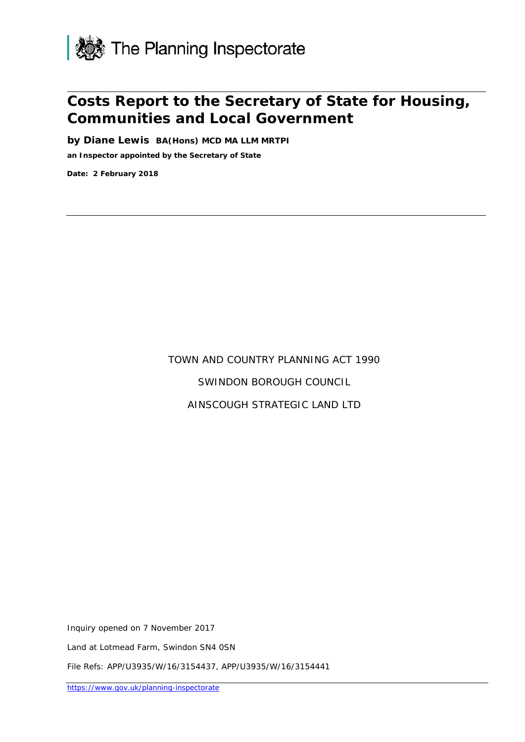

# **Costs Report to the Secretary of State for Housing, Communities and Local Government**

**by Diane Lewis BA(Hons) MCD MA LLM MRTPI an Inspector appointed by the Secretary of State** 

**Date: 2 February 2018**

# TOWN AND COUNTRY PLANNING ACT 1990 SWINDON BOROUGH COUNCIL AINSCOUGH STRATEGIC LAND LTD

Inquiry opened on 7 November 2017

Land at Lotmead Farm, Swindon SN4 0SN

File Refs: APP/U3935/W/16/3154437, APP/U3935/W/16/3154441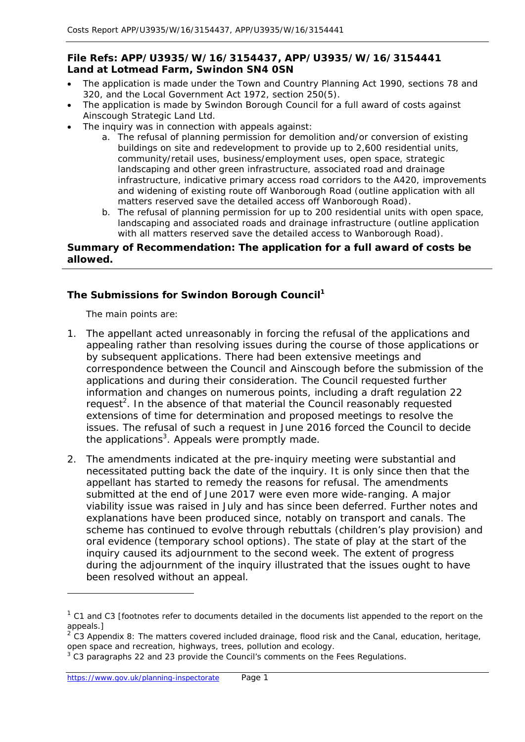## **File Refs: APP/U3935/W/16/3154437, APP/U3935/W/16/3154441 Land at Lotmead Farm, Swindon SN4 0SN**

- The application is made under the Town and Country Planning Act 1990, sections 78 and 320, and the Local Government Act 1972, section 250(5).
- The application is made by Swindon Borough Council for a full award of costs against Ainscough Strategic Land Ltd.
- The inquiry was in connection with appeals against:
	- a. The refusal of planning permission for demolition and/or conversion of existing buildings on site and redevelopment to provide up to 2,600 residential units, community/retail uses, business/employment uses, open space, strategic landscaping and other green infrastructure, associated road and drainage infrastructure, indicative primary access road corridors to the A420, improvements and widening of existing route off Wanborough Road (outline application with all matters reserved save the detailed access off Wanborough Road).
	- b. The refusal of planning permission for up to 200 residential units with open space, landscaping and associated roads and drainage infrastructure (outline application with all matters reserved save the detailed access to Wanborough Road).

#### **Summary of Recommendation: The application for a full award of costs be allowed.**

# **The Submissions for Swindon Borough Council1**

*The main points are*:

- 1. The appellant acted unreasonably in forcing the refusal of the applications and appealing rather than resolving issues during the course of those applications or by subsequent applications. There had been extensive meetings and correspondence between the Council and Ainscough before the submission of the applications and during their consideration. The Council requested further information and changes on numerous points, including a draft regulation 22 request<sup>2</sup>. In the absence of that material the Council reasonably requested extensions of time for determination and proposed meetings to resolve the issues. The refusal of such a request in June 2016 forced the Council to decide the applications<sup>3</sup>. Appeals were promptly made.
- 2. The amendments indicated at the pre-inquiry meeting were substantial and necessitated putting back the date of the inquiry. It is only since then that the appellant has started to remedy the reasons for refusal. The amendments submitted at the end of June 2017 were even more wide-ranging. A major viability issue was raised in July and has since been deferred. Further notes and explanations have been produced since, notably on transport and canals. The scheme has continued to evolve through rebuttals (children's play provision) and oral evidence (temporary school options). The state of play at the start of the inquiry caused its adjournment to the second week. The extent of progress during the adjournment of the inquiry illustrated that the issues ought to have been resolved without an appeal.

<sup>1</sup> C1 and C3 [*footnotes refer to documents detailed in the documents list appended to the report on the appeals*.]

 $2$  C3 Appendix 8: The matters covered included drainage, flood risk and the Canal, education, heritage, open space and recreation, highways, trees, pollution and ecology.

 $3$  C3 paragraphs 22 and 23 provide the Council's comments on the Fees Regulations.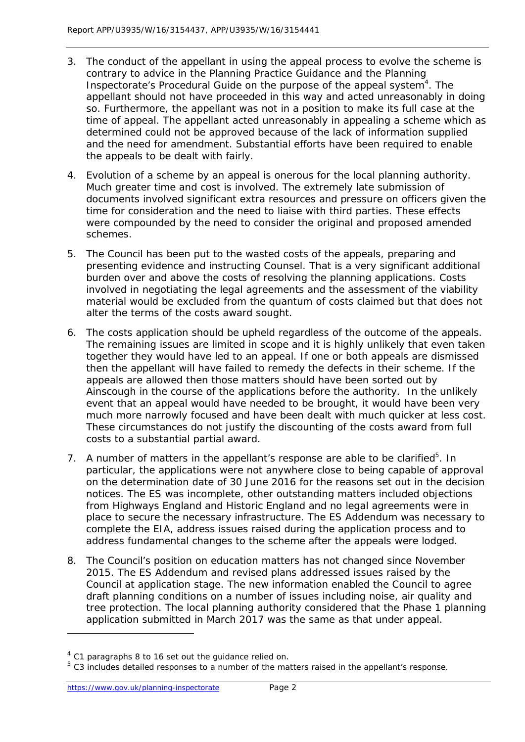- 3. The conduct of the appellant in using the appeal process to evolve the scheme is contrary to advice in the Planning Practice Guidance and the Planning Inspectorate's Procedural Guide on the purpose of the appeal system<sup>4</sup>. The appellant should not have proceeded in this way and acted unreasonably in doing so. Furthermore, the appellant was not in a position to make its full case at the time of appeal. The appellant acted unreasonably in appealing a scheme which as determined could not be approved because of the lack of information supplied and the need for amendment. Substantial efforts have been required to enable the appeals to be dealt with fairly.
- 4. Evolution of a scheme by an appeal is onerous for the local planning authority. Much greater time and cost is involved. The extremely late submission of documents involved significant extra resources and pressure on officers given the time for consideration and the need to liaise with third parties. These effects were compounded by the need to consider the original and proposed amended schemes.
- 5. The Council has been put to the wasted costs of the appeals, preparing and presenting evidence and instructing Counsel. That is a very significant additional burden over and above the costs of resolving the planning applications. Costs involved in negotiating the legal agreements and the assessment of the viability material would be excluded from the quantum of costs claimed but that does not alter the terms of the costs award sought.
- 6. The costs application should be upheld regardless of the outcome of the appeals. The remaining issues are limited in scope and it is highly unlikely that even taken together they would have led to an appeal. If one or both appeals are dismissed then the appellant will have failed to remedy the defects in their scheme. If the appeals are allowed then those matters should have been sorted out by Ainscough in the course of the applications before the authority. In the unlikely event that an appeal would have needed to be brought, it would have been very much more narrowly focused and have been dealt with much quicker at less cost. These circumstances do not justify the discounting of the costs award from full costs to a substantial partial award.
- 7. A number of matters in the appellant's response are able to be clarified<sup>5</sup>. In particular, the applications were not anywhere close to being capable of approval on the determination date of 30 June 2016 for the reasons set out in the decision notices. The ES was incomplete, other outstanding matters included objections from Highways England and Historic England and no legal agreements were in place to secure the necessary infrastructure. The ES Addendum was necessary to complete the EIA, address issues raised during the application process and to address fundamental changes to the scheme after the appeals were lodged.
- 8. The Council's position on education matters has not changed since November 2015. The ES Addendum and revised plans addressed issues raised by the Council at application stage. The new information enabled the Council to agree draft planning conditions on a number of issues including noise, air quality and tree protection. The local planning authority considered that the Phase 1 planning application submitted in March 2017 was the same as that under appeal.

1

 $4$  C1 paragraphs 8 to 16 set out the guidance relied on.<br> $5$  C3 includes detailed responses to a number of the matters raised in the appellant's response.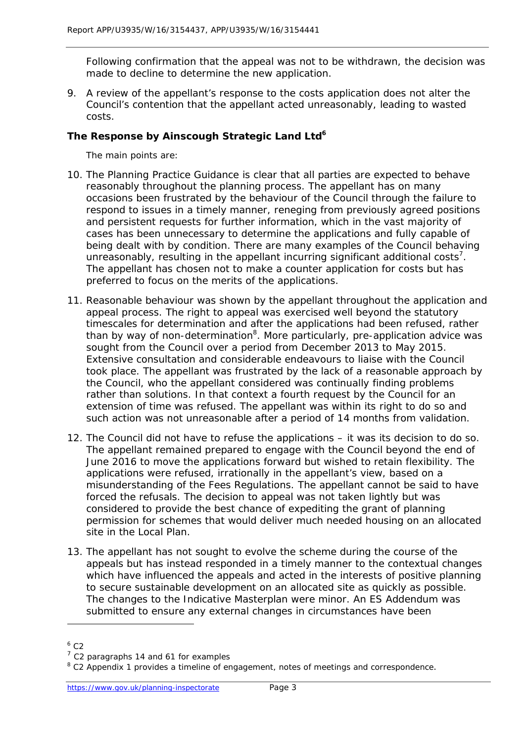Following confirmation that the appeal was not to be withdrawn, the decision was made to decline to determine the new application.

9. A review of the appellant's response to the costs application does not alter the Council's contention that the appellant acted unreasonably, leading to wasted costs.

## The Response by Ainscough Strategic Land Ltd<sup>6</sup>

*The main points are*:

- 10. The Planning Practice Guidance is clear that all parties are expected to behave reasonably throughout the planning process. The appellant has on many occasions been frustrated by the behaviour of the Council through the failure to respond to issues in a timely manner, reneging from previously agreed positions and persistent requests for further information, which in the vast majority of cases has been unnecessary to determine the applications and fully capable of being dealt with by condition. There are many examples of the Council behaving unreasonably, resulting in the appellant incurring significant additional costs<sup>7</sup>. The appellant has chosen not to make a counter application for costs but has preferred to focus on the merits of the applications.
- 11. Reasonable behaviour was shown by the appellant throughout the application and appeal process. The right to appeal was exercised well beyond the statutory timescales for determination and after the applications had been refused, rather than by way of non-determination<sup>8</sup>. More particularly, pre-application advice was sought from the Council over a period from December 2013 to May 2015. Extensive consultation and considerable endeavours to liaise with the Council took place. The appellant was frustrated by the lack of a reasonable approach by the Council, who the appellant considered was continually finding problems rather than solutions. In that context a fourth request by the Council for an extension of time was refused. The appellant was within its right to do so and such action was not unreasonable after a period of 14 months from validation.
- 12. The Council did not have to refuse the applications it was its decision to do so. The appellant remained prepared to engage with the Council beyond the end of June 2016 to move the applications forward but wished to retain flexibility. The applications were refused, irrationally in the appellant's view, based on a misunderstanding of the Fees Regulations. The appellant cannot be said to have forced the refusals. The decision to appeal was not taken lightly but was considered to provide the best chance of expediting the grant of planning permission for schemes that would deliver much needed housing on an allocated site in the Local Plan.
- 13. The appellant has not sought to evolve the scheme during the course of the appeals but has instead responded in a timely manner to the contextual changes which have influenced the appeals and acted in the interests of positive planning to secure sustainable development on an allocated site as quickly as possible. The changes to the Indicative Masterplan were minor. An ES Addendum was submitted to ensure any external changes in circumstances have been

1

 $6$  C<sub>2</sub>

 $<sup>7</sup>$  C2 paragraphs 14 and 61 for examples</sup>

<sup>&</sup>lt;sup>8</sup> C2 Appendix 1 provides a timeline of engagement, notes of meetings and correspondence.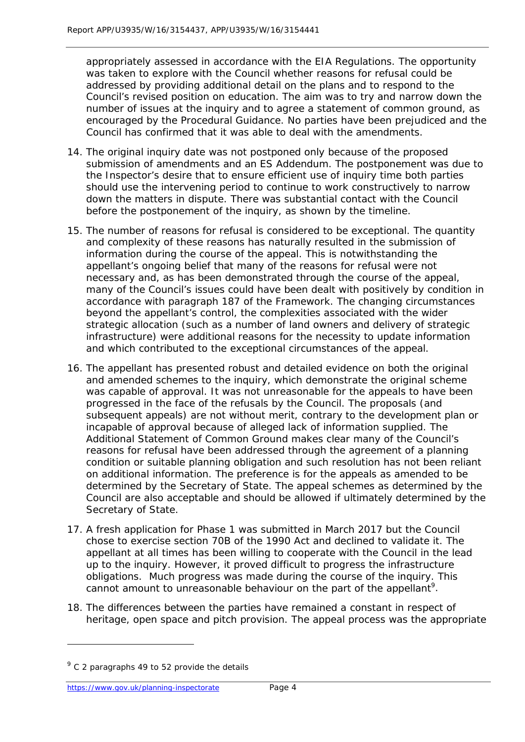appropriately assessed in accordance with the EIA Regulations. The opportunity was taken to explore with the Council whether reasons for refusal could be addressed by providing additional detail on the plans and to respond to the Council's revised position on education. The aim was to try and narrow down the number of issues at the inquiry and to agree a statement of common ground, as encouraged by the Procedural Guidance. No parties have been prejudiced and the Council has confirmed that it was able to deal with the amendments.

- 14. The original inquiry date was not postponed only because of the proposed submission of amendments and an ES Addendum. The postponement was due to the Inspector's desire that to ensure efficient use of inquiry time both parties should use the intervening period to continue to work constructively to narrow down the matters in dispute. There was substantial contact with the Council before the postponement of the inquiry, as shown by the timeline.
- 15. The number of reasons for refusal is considered to be exceptional. The quantity and complexity of these reasons has naturally resulted in the submission of information during the course of the appeal. This is notwithstanding the appellant's ongoing belief that many of the reasons for refusal were not necessary and, as has been demonstrated through the course of the appeal, many of the Council's issues could have been dealt with positively by condition in accordance with paragraph 187 of the Framework. The changing circumstances beyond the appellant's control, the complexities associated with the wider strategic allocation (such as a number of land owners and delivery of strategic infrastructure) were additional reasons for the necessity to update information and which contributed to the exceptional circumstances of the appeal.
- 16. The appellant has presented robust and detailed evidence on both the original and amended schemes to the inquiry, which demonstrate the original scheme was capable of approval. It was not unreasonable for the appeals to have been progressed in the face of the refusals by the Council. The proposals (and subsequent appeals) are not without merit, contrary to the development plan or incapable of approval because of alleged lack of information supplied. The Additional Statement of Common Ground makes clear many of the Council's reasons for refusal have been addressed through the agreement of a planning condition or suitable planning obligation and such resolution has not been reliant on additional information. The preference is for the appeals as amended to be determined by the Secretary of State. The appeal schemes as determined by the Council are also acceptable and should be allowed if ultimately determined by the Secretary of State.
- 17. A fresh application for Phase 1 was submitted in March 2017 but the Council chose to exercise section 70B of the 1990 Act and declined to validate it. The appellant at all times has been willing to cooperate with the Council in the lead up to the inquiry. However, it proved difficult to progress the infrastructure obligations. Much progress was made during the course of the inquiry. This cannot amount to unreasonable behaviour on the part of the appellant<sup>9</sup>.
- 18. The differences between the parties have remained a constant in respect of heritage, open space and pitch provision. The appeal process was the appropriate

 $<sup>9</sup>$  C 2 paragraphs 49 to 52 provide the details</sup>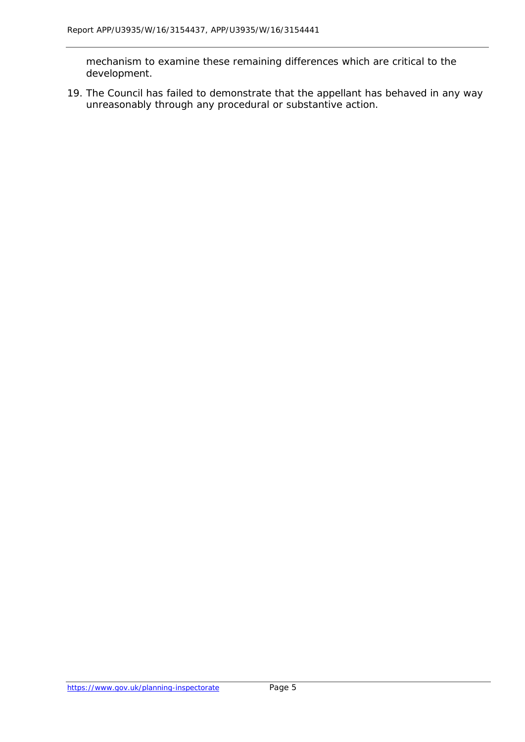mechanism to examine these remaining differences which are critical to the development.

19. The Council has failed to demonstrate that the appellant has behaved in any way unreasonably through any procedural or substantive action.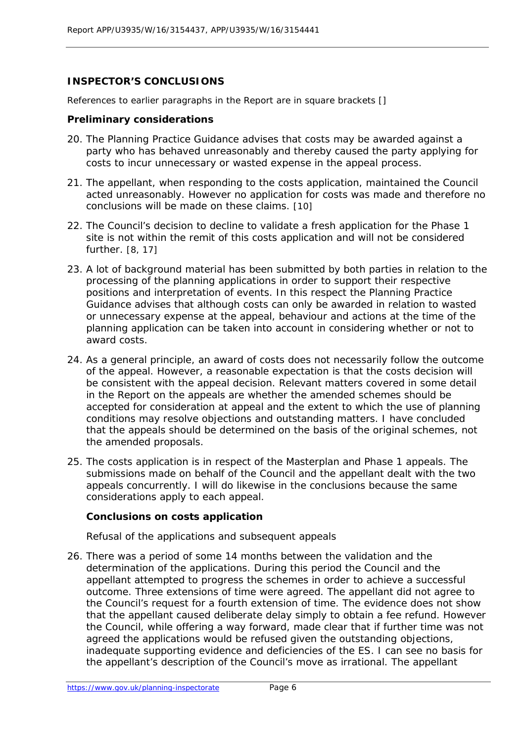# **INSPECTOR'S CONCLUSIONS**

*References to earlier paragraphs in the Report are in square brackets []*

#### **Preliminary considerations**

- 20. The Planning Practice Guidance advises that costs may be awarded against a party who has behaved unreasonably and thereby caused the party applying for costs to incur unnecessary or wasted expense in the appeal process.
- 21. The appellant, when responding to the costs application, maintained the Council acted unreasonably. However no application for costs was made and therefore no conclusions will be made on these claims. [10]
- 22. The Council's decision to decline to validate a fresh application for the Phase 1 site is not within the remit of this costs application and will not be considered further. [8, 17]
- 23. A lot of background material has been submitted by both parties in relation to the processing of the planning applications in order to support their respective positions and interpretation of events. In this respect the Planning Practice Guidance advises that although costs can only be awarded in relation to wasted or unnecessary expense at the appeal, behaviour and actions at the time of the planning application can be taken into account in considering whether or not to award costs.
- 24. As a general principle, an award of costs does not necessarily follow the outcome of the appeal. However, a reasonable expectation is that the costs decision will be consistent with the appeal decision. Relevant matters covered in some detail in the Report on the appeals are whether the amended schemes should be accepted for consideration at appeal and the extent to which the use of planning conditions may resolve objections and outstanding matters. I have concluded that the appeals should be determined on the basis of the original schemes, not the amended proposals.
- 25. The costs application is in respect of the Masterplan and Phase 1 appeals. The submissions made on behalf of the Council and the appellant dealt with the two appeals concurrently. I will do likewise in the conclusions because the same considerations apply to each appeal.

#### **Conclusions on costs application**

#### *Refusal of the applications and subsequent appeals*

26. There was a period of some 14 months between the validation and the determination of the applications. During this period the Council and the appellant attempted to progress the schemes in order to achieve a successful outcome. Three extensions of time were agreed. The appellant did not agree to the Council's request for a fourth extension of time. The evidence does not show that the appellant caused deliberate delay simply to obtain a fee refund. However the Council, while offering a way forward, made clear that if further time was not agreed the applications would be refused given the outstanding objections, inadequate supporting evidence and deficiencies of the ES. I can see no basis for the appellant's description of the Council's move as irrational. The appellant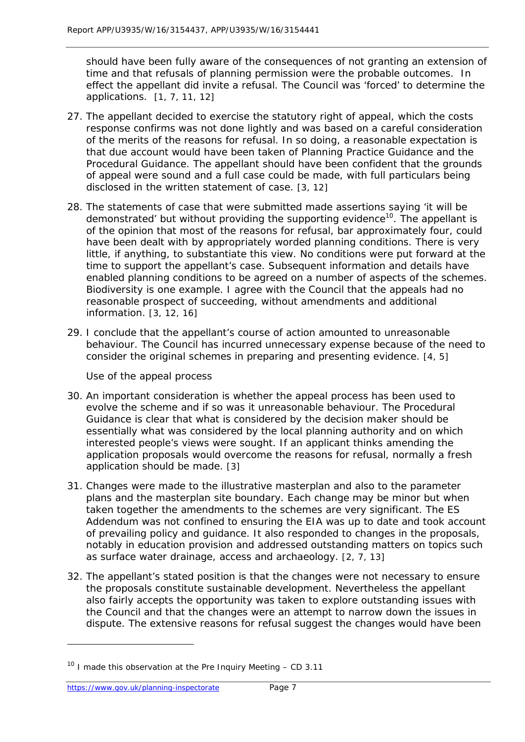should have been fully aware of the consequences of not granting an extension of time and that refusals of planning permission were the probable outcomes. In effect the appellant did invite a refusal. The Council was 'forced' to determine the applications. [1, 7, 11, 12]

- 27. The appellant decided to exercise the statutory right of appeal, which the costs response confirms was not done lightly and was based on a careful consideration of the merits of the reasons for refusal. In so doing, a reasonable expectation is that due account would have been taken of Planning Practice Guidance and the Procedural Guidance. The appellant should have been confident that the grounds of appeal were sound and a full case could be made, with full particulars being disclosed in the written statement of case. [3, 12]
- 28. The statements of case that were submitted made assertions saying 'it will be demonstrated' but without providing the supporting evidence<sup>10</sup>. The appellant is of the opinion that most of the reasons for refusal, bar approximately four, could have been dealt with by appropriately worded planning conditions. There is very little, if anything, to substantiate this view. No conditions were put forward at the time to support the appellant's case. Subsequent information and details have enabled planning conditions to be agreed on a number of aspects of the schemes. Biodiversity is one example. I agree with the Council that the appeals had no reasonable prospect of succeeding, without amendments and additional information. [3, 12, 16]
- 29. I conclude that the appellant's course of action amounted to unreasonable behaviour. The Council has incurred unnecessary expense because of the need to consider the original schemes in preparing and presenting evidence. [4, 5]

#### *Use of the appeal process*

- 30. An important consideration is whether the appeal process has been used to evolve the scheme and if so was it unreasonable behaviour. The Procedural Guidance is clear that what is considered by the decision maker should be essentially what was considered by the local planning authority and on which interested people's views were sought. If an applicant thinks amending the application proposals would overcome the reasons for refusal, normally a fresh application should be made. [3]
- 31. Changes were made to the illustrative masterplan and also to the parameter plans and the masterplan site boundary. Each change may be minor but when taken together the amendments to the schemes are very significant. The ES Addendum was not confined to ensuring the EIA was up to date and took account of prevailing policy and guidance. It also responded to changes in the proposals, notably in education provision and addressed outstanding matters on topics such as surface water drainage, access and archaeology. [2, 7, 13]
- 32. The appellant's stated position is that the changes were not necessary to ensure the proposals constitute sustainable development. Nevertheless the appellant also fairly accepts the opportunity was taken to explore outstanding issues with the Council and that the changes were an attempt to narrow down the issues in dispute. The extensive reasons for refusal suggest the changes would have been

 $10$  I made this observation at the Pre Inquiry Meeting – CD 3.11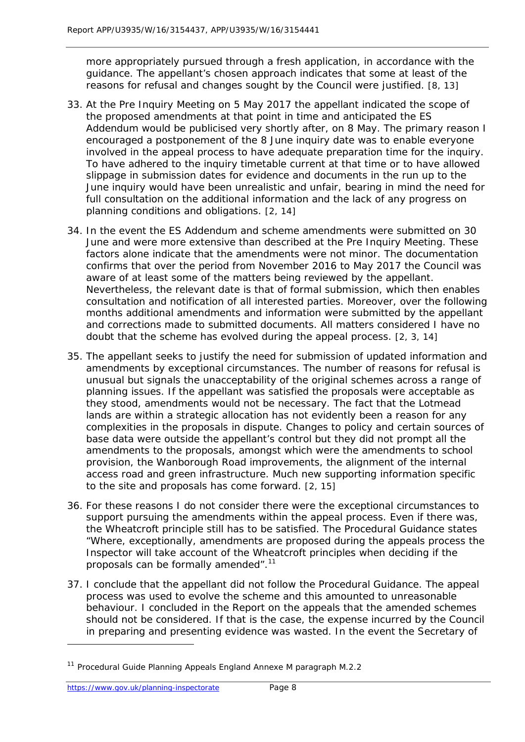more appropriately pursued through a fresh application, in accordance with the guidance. The appellant's chosen approach indicates that some at least of the reasons for refusal and changes sought by the Council were justified. [8, 13]

- 33. At the Pre Inquiry Meeting on 5 May 2017 the appellant indicated the scope of the proposed amendments at that point in time and anticipated the ES Addendum would be publicised very shortly after, on 8 May. The primary reason I encouraged a postponement of the 8 June inquiry date was to enable everyone involved in the appeal process to have adequate preparation time for the inquiry. To have adhered to the inquiry timetable current at that time or to have allowed slippage in submission dates for evidence and documents in the run up to the June inquiry would have been unrealistic and unfair, bearing in mind the need for full consultation on the additional information and the lack of any progress on planning conditions and obligations. [2, 14]
- 34. In the event the ES Addendum and scheme amendments were submitted on 30 June and were more extensive than described at the Pre Inquiry Meeting. These factors alone indicate that the amendments were not minor. The documentation confirms that over the period from November 2016 to May 2017 the Council was aware of at least some of the matters being reviewed by the appellant. Nevertheless, the relevant date is that of formal submission, which then enables consultation and notification of all interested parties. Moreover, over the following months additional amendments and information were submitted by the appellant and corrections made to submitted documents. All matters considered I have no doubt that the scheme has evolved during the appeal process. [2, 3, 14]
- 35. The appellant seeks to justify the need for submission of updated information and amendments by exceptional circumstances. The number of reasons for refusal is unusual but signals the unacceptability of the original schemes across a range of planning issues. If the appellant was satisfied the proposals were acceptable as they stood, amendments would not be necessary. The fact that the Lotmead lands are within a strategic allocation has not evidently been a reason for any complexities in the proposals in dispute. Changes to policy and certain sources of base data were outside the appellant's control but they did not prompt all the amendments to the proposals, amongst which were the amendments to school provision, the Wanborough Road improvements, the alignment of the internal access road and green infrastructure. Much new supporting information specific to the site and proposals has come forward. [2, 15]
- 36. For these reasons I do not consider there were the exceptional circumstances to support pursuing the amendments within the appeal process. Even if there was, the *Wheatcroft* principle still has to be satisfied. The Procedural Guidance states "Where, exceptionally, amendments are proposed during the appeals process the Inspector will take account of the *Wheatcroft* principles when deciding if the proposals can be formally amended".<sup>11</sup>
- 37. I conclude that the appellant did not follow the Procedural Guidance. The appeal process was used to evolve the scheme and this amounted to unreasonable behaviour. I concluded in the Report on the appeals that the amended schemes should not be considered. If that is the case, the expense incurred by the Council in preparing and presenting evidence was wasted. In the event the Secretary of

<sup>&</sup>lt;sup>11</sup> Procedural Guide Planning Appeals England Annexe M paragraph M.2.2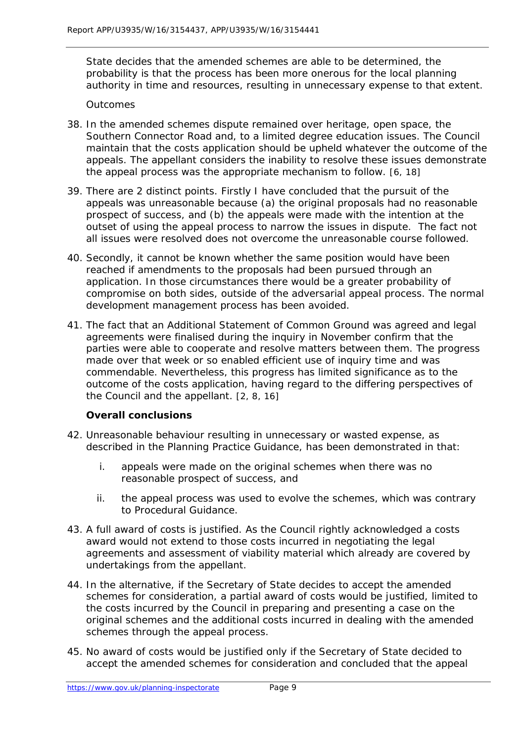State decides that the amended schemes are able to be determined, the probability is that the process has been more onerous for the local planning authority in time and resources, resulting in unnecessary expense to that extent.

#### *Outcomes*

- 38. In the amended schemes dispute remained over heritage, open space, the Southern Connector Road and, to a limited degree education issues. The Council maintain that the costs application should be upheld whatever the outcome of the appeals. The appellant considers the inability to resolve these issues demonstrate the appeal process was the appropriate mechanism to follow. [6, 18]
- 39. There are 2 distinct points. Firstly I have concluded that the pursuit of the appeals was unreasonable because (a) the original proposals had no reasonable prospect of success, and (b) the appeals were made with the intention at the outset of using the appeal process to narrow the issues in dispute. The fact not all issues were resolved does not overcome the unreasonable course followed.
- 40. Secondly, it cannot be known whether the same position would have been reached if amendments to the proposals had been pursued through an application. In those circumstances there would be a greater probability of compromise on both sides, outside of the adversarial appeal process. The normal development management process has been avoided.
- 41. The fact that an Additional Statement of Common Ground was agreed and legal agreements were finalised during the inquiry in November confirm that the parties were able to cooperate and resolve matters between them. The progress made over that week or so enabled efficient use of inquiry time and was commendable. Nevertheless, this progress has limited significance as to the outcome of the costs application, having regard to the differing perspectives of the Council and the appellant. [2, 8, 16]

#### **Overall conclusions**

- 42. Unreasonable behaviour resulting in unnecessary or wasted expense, as described in the Planning Practice Guidance, has been demonstrated in that:
	- i. appeals were made on the original schemes when there was no reasonable prospect of success, and
	- ii. the appeal process was used to evolve the schemes, which was contrary to Procedural Guidance.
- 43. A full award of costs is justified. As the Council rightly acknowledged a costs award would not extend to those costs incurred in negotiating the legal agreements and assessment of viability material which already are covered by undertakings from the appellant.
- 44. In the alternative, if the Secretary of State decides to accept the amended schemes for consideration, a partial award of costs would be justified, limited to the costs incurred by the Council in preparing and presenting a case on the original schemes and the additional costs incurred in dealing with the amended schemes through the appeal process.
- 45. No award of costs would be justified only if the Secretary of State decided to accept the amended schemes for consideration and concluded that the appeal